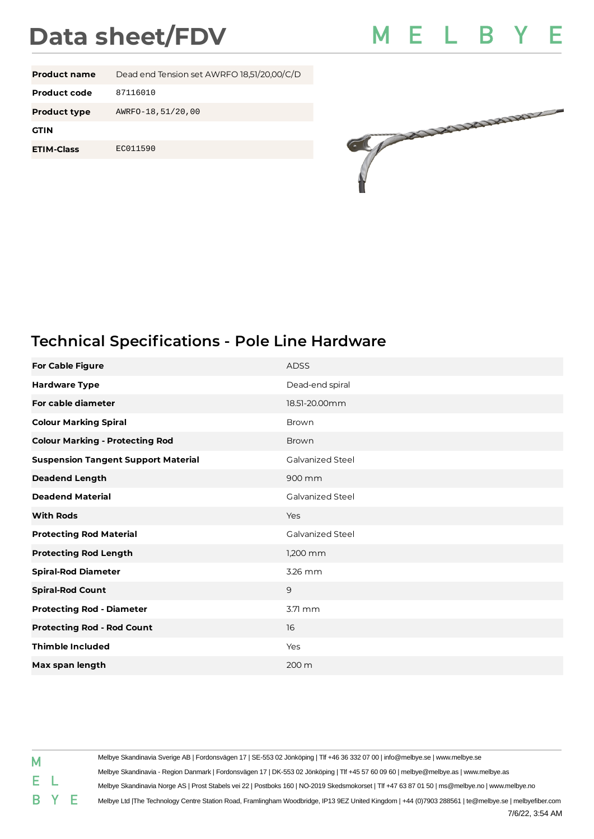## **Data sheet/FDV**



| <b>Product name</b> | Dead end Tension set AWRFO 18,51/20,00/C/D |
|---------------------|--------------------------------------------|
| Product code        | 87116010                                   |
| <b>Product type</b> | AWRF0-18, 51/20, 00                        |
| <b>GTIN</b>         |                                            |
| <b>ETIM-Class</b>   | EC011590                                   |
|                     |                                            |



## **Technical Specifications - Pole Line Hardware**

| <b>For Cable Figure</b>                    | <b>ADSS</b>             |
|--------------------------------------------|-------------------------|
| <b>Hardware Type</b>                       | Dead-end spiral         |
| For cable diameter                         | 18.51-20.00mm           |
| <b>Colour Marking Spiral</b>               | Brown                   |
| <b>Colour Marking - Protecting Rod</b>     | <b>Brown</b>            |
| <b>Suspension Tangent Support Material</b> | Galvanized Steel        |
| <b>Deadend Length</b>                      | 900 mm                  |
| <b>Deadend Material</b>                    | <b>Galvanized Steel</b> |
| <b>With Rods</b>                           | Yes                     |
| <b>Protecting Rod Material</b>             | Galvanized Steel        |
| <b>Protecting Rod Length</b>               | 1,200 mm                |
| <b>Spiral-Rod Diameter</b>                 | 3.26 mm                 |
| <b>Spiral-Rod Count</b>                    | 9                       |
| <b>Protecting Rod - Diameter</b>           | 3.71 mm                 |
| <b>Protecting Rod - Rod Count</b>          | 16                      |
| <b>Thimble Included</b>                    | Yes                     |
| Max span length                            | 200 m                   |

|    |     | Melbye Skandinavia Sverige AB   Fordonsvägen 17   SE-553 02 Jönköping   Tlf +46 36 332 07 00   info@melbye.se   www.melbye.se                         |
|----|-----|-------------------------------------------------------------------------------------------------------------------------------------------------------|
| Μ  |     |                                                                                                                                                       |
| E. |     | Melbye Skandinavia - Region Danmark   Fordonsvägen 17   DK-553 02 Jönköping   Tlf +45 57 60 09 60   melbye@melbye.as   www.melbye.as                  |
|    |     | Melbye Skandinavia Norge AS   Prost Stabels vei 22   Postboks 160   NO-2019 Skedsmokorset   Tlf +47 63 87 01 50   ms@melbye.no   www.melbye.no        |
|    | B Y | Melbye Ltd  The Technology Centre Station Road, Framlingham Woodbridge, IP13 9EZ United Kingdom   +44 (0)7903 288561   te@melbye.se   melbyefiber.com |
|    |     | 7/6/22, 3:54 AM                                                                                                                                       |